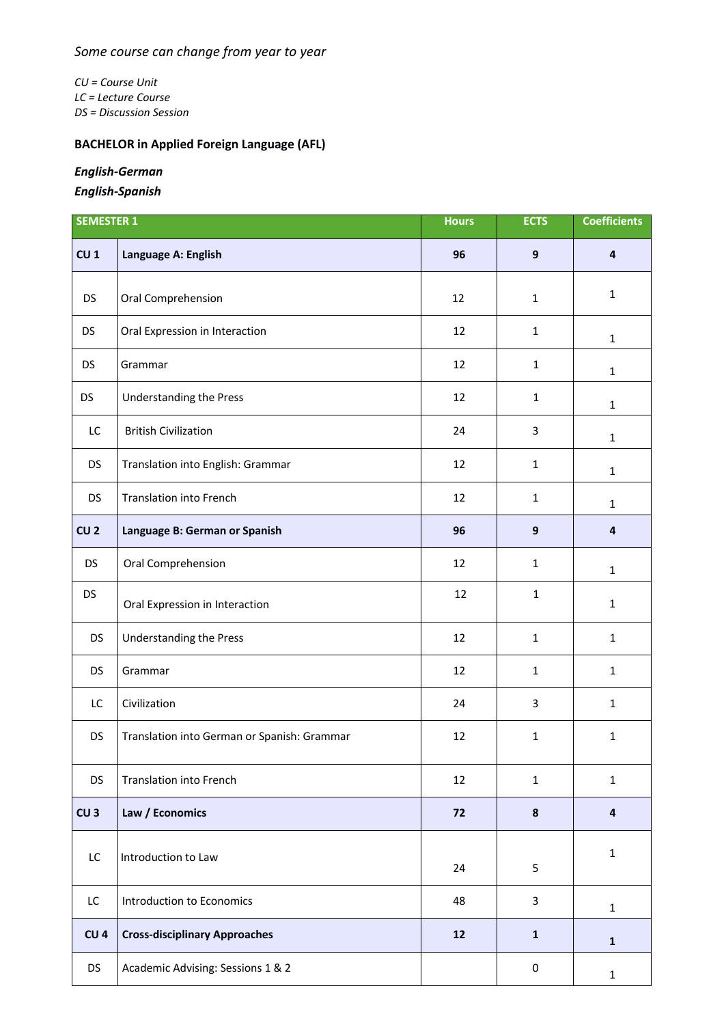*CU = Course Unit LC = Lecture Course DS = Discussion Session*

## **BACHELOR in Applied Foreign Language (AFL)**

## *English-German*

*English-Spanish*

| <b>SEMESTER 1</b> |                                             | <b>Hours</b> | <b>ECTS</b>      | <b>Coefficients</b>     |
|-------------------|---------------------------------------------|--------------|------------------|-------------------------|
| CU <sub>1</sub>   | Language A: English                         | 96           | $\mathbf{9}$     | $\overline{4}$          |
| <b>DS</b>         | Oral Comprehension                          | 12           | $\mathbf{1}$     | $\mathbf{1}$            |
| <b>DS</b>         | Oral Expression in Interaction              | 12           | $\mathbf{1}$     | $\mathbf{1}$            |
| <b>DS</b>         | Grammar                                     | 12           | $\mathbf{1}$     | $\mathbf{1}$            |
| DS                | Understanding the Press                     | 12           | $\mathbf{1}$     | $\mathbf{1}$            |
| LC                | <b>British Civilization</b>                 | 24           | 3                | $\mathbf{1}$            |
| <b>DS</b>         | Translation into English: Grammar           | 12           | $\mathbf{1}$     | $\mathbf{1}$            |
| <b>DS</b>         | <b>Translation into French</b>              | 12           | $\mathbf{1}$     | $\mathbf{1}$            |
| CU <sub>2</sub>   | Language B: German or Spanish               | 96           | $\boldsymbol{9}$ | $\overline{4}$          |
| <b>DS</b>         | Oral Comprehension                          | 12           | $\mathbf{1}$     | $\mathbf{1}$            |
| <b>DS</b>         | Oral Expression in Interaction              | 12           | $\mathbf{1}$     | $\mathbf{1}$            |
| <b>DS</b>         | <b>Understanding the Press</b>              | 12           | $\mathbf{1}$     | $\mathbf{1}$            |
| <b>DS</b>         | Grammar                                     | 12           | $\mathbf{1}$     | $\mathbf{1}$            |
| LC                | Civilization                                | 24           | 3                | $\mathbf 1$             |
| <b>DS</b>         | Translation into German or Spanish: Grammar | 12           | $\mathbf{1}$     | $\mathbf{1}$            |
| <b>DS</b>         | <b>Translation into French</b>              | 12           | $\mathbf{1}$     | $\mathbf{1}$            |
| CU <sub>3</sub>   | Law / Economics                             | 72           | $\boldsymbol{8}$ | $\overline{\mathbf{4}}$ |
| LC                | Introduction to Law                         | 24           | 5                | $\mathbf{1}$            |
| LC                | Introduction to Economics                   | 48           | 3                | $\mathbf{1}$            |
| CU <sub>4</sub>   | <b>Cross-disciplinary Approaches</b>        | 12           | $\mathbf{1}$     | $\mathbf 1$             |
| <b>DS</b>         | Academic Advising: Sessions 1 & 2           |              | 0                | $\mathbf{1}$            |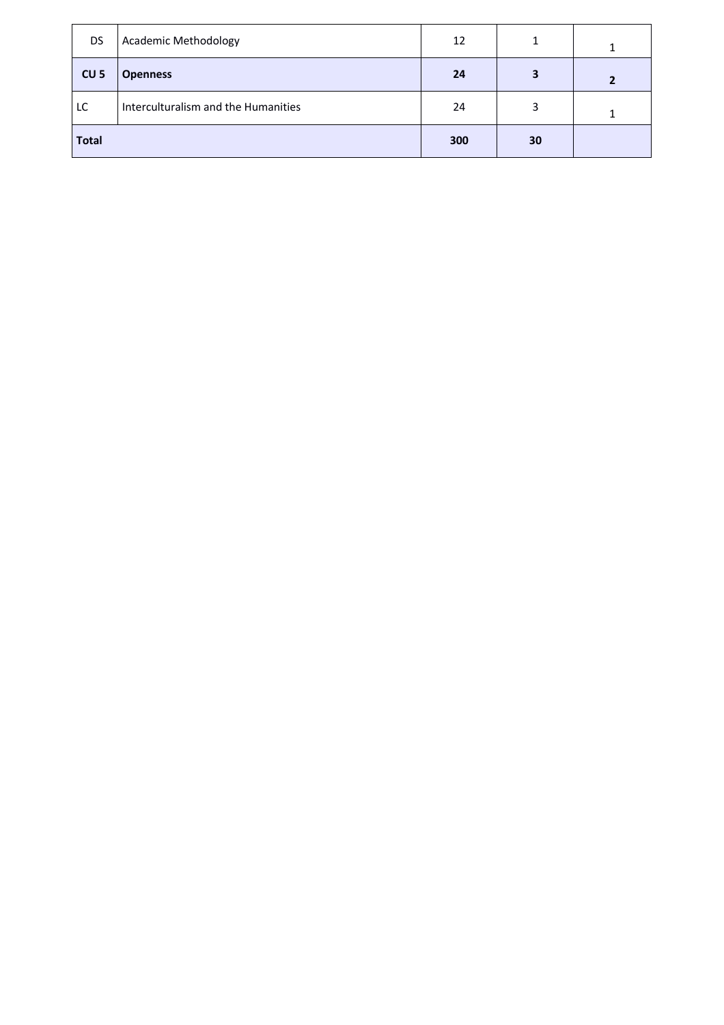| DS.             | Academic Methodology                | 12  |    |  |
|-----------------|-------------------------------------|-----|----|--|
| CU <sub>5</sub> | <b>Openness</b>                     | 24  | 3  |  |
| LC              | Interculturalism and the Humanities | 24  | 3  |  |
| <b>Total</b>    |                                     | 300 | 30 |  |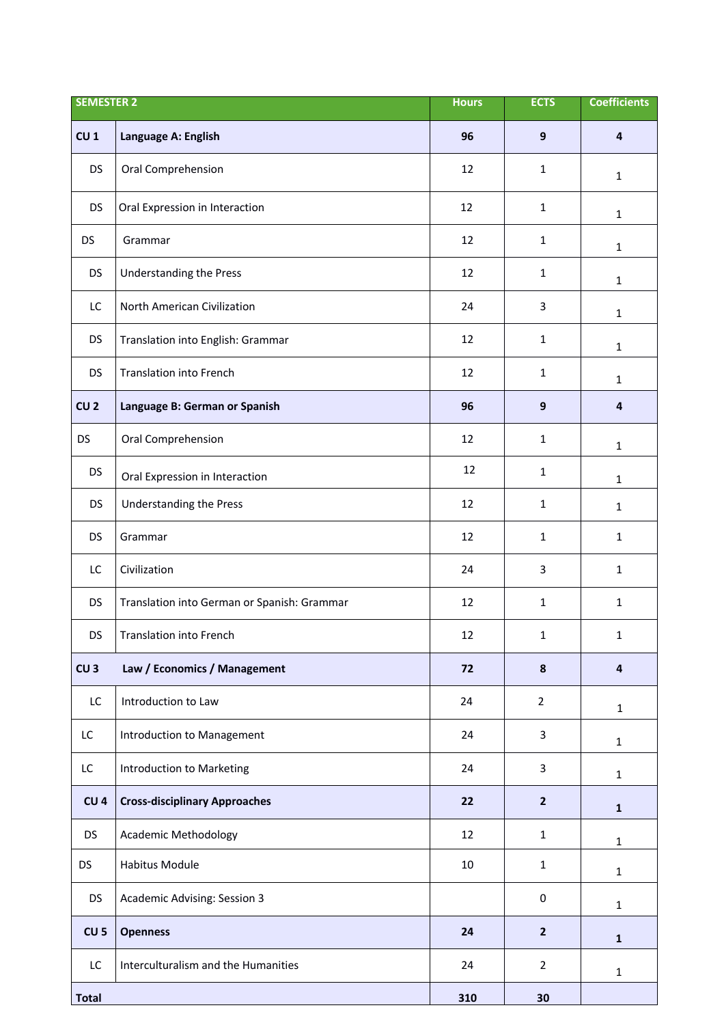| <b>SEMESTER 2</b> |                                             | <b>Hours</b> | <b>ECTS</b>    | <b>Coefficients</b> |
|-------------------|---------------------------------------------|--------------|----------------|---------------------|
| CU <sub>1</sub>   | Language A: English                         | 96           | $9$            | 4                   |
| <b>DS</b>         | Oral Comprehension                          | 12           | 1              | $\mathbf{1}$        |
| <b>DS</b>         | Oral Expression in Interaction              | 12           | $\mathbf{1}$   | $\mathbf{1}$        |
| <b>DS</b>         | Grammar                                     | 12           | $\mathbf{1}$   | $\mathbf{1}$        |
| DS                | <b>Understanding the Press</b>              | 12           | $\mathbf{1}$   | $\mathbf{1}$        |
| LC                | North American Civilization                 | 24           | 3              | $\mathbf{1}$        |
| <b>DS</b>         | Translation into English: Grammar           | 12           | $\mathbf{1}$   | $\mathbf{1}$        |
| <b>DS</b>         | <b>Translation into French</b>              | 12           | $\mathbf 1$    | $\mathbf{1}$        |
| CU <sub>2</sub>   | Language B: German or Spanish               | 96           | 9              | $\overline{4}$      |
| <b>DS</b>         | Oral Comprehension                          | 12           | $\mathbf{1}$   | $\mathbf{1}$        |
| <b>DS</b>         | Oral Expression in Interaction              | 12           | 1              | $\mathbf{1}$        |
| DS                | Understanding the Press                     | 12           | $\mathbf{1}$   | $\mathbf{1}$        |
| <b>DS</b>         | Grammar                                     | 12           | $\mathbf{1}$   | $\mathbf{1}$        |
| LC                | Civilization                                | 24           | 3              | $\mathbf{1}$        |
| <b>DS</b>         | Translation into German or Spanish: Grammar | 12           | 1              | $\mathbf{1}$        |
| <b>DS</b>         | <b>Translation into French</b>              | 12           | 1              | $\mathbf{1}$        |
| CU <sub>3</sub>   | Law / Economics / Management                | 72           | $\pmb{8}$      | $\overline{4}$      |
| LC                | Introduction to Law                         | 24           | $\overline{2}$ | $\mathbf{1}$        |
| LC                | Introduction to Management                  | 24           | 3              | $\mathbf{1}$        |
| LC                | Introduction to Marketing                   | 24           | 3              | $\mathbf{1}$        |
| CU <sub>4</sub>   | <b>Cross-disciplinary Approaches</b>        | 22           | $\overline{2}$ | $\mathbf{1}$        |
| <b>DS</b>         | <b>Academic Methodology</b>                 | 12           | $\mathbf{1}$   | $\mathbf{1}$        |
| <b>DS</b>         | Habitus Module                              | 10           | $\mathbf{1}$   | $\mathbf{1}$        |
| <b>DS</b>         | Academic Advising: Session 3                |              | 0              | $\mathbf{1}$        |
| CU <sub>5</sub>   | <b>Openness</b>                             | 24           | $\mathbf{2}$   | $\mathbf{1}$        |
| LC                | Interculturalism and the Humanities         | 24           | $\overline{2}$ | $\mathbf{1}$        |
| <b>Total</b>      |                                             | 310          | 30             |                     |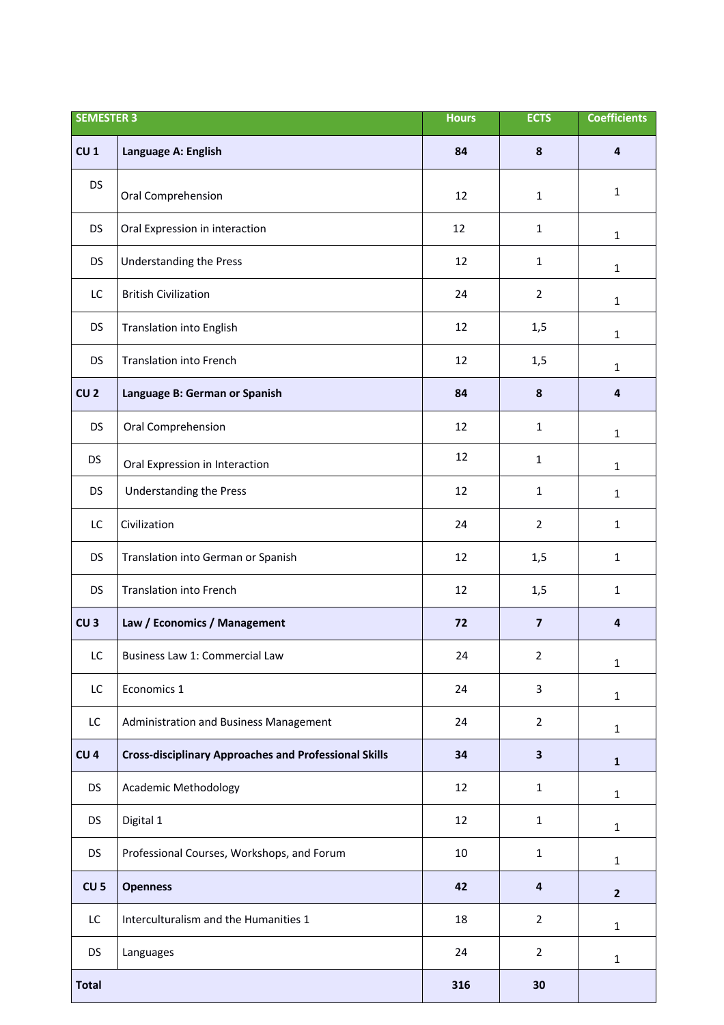| <b>SEMESTER 3</b> |                                                              | <b>Hours</b> | <b>ECTS</b>             | <b>Coefficients</b>     |
|-------------------|--------------------------------------------------------------|--------------|-------------------------|-------------------------|
| CU <sub>1</sub>   | Language A: English                                          | 84           | 8                       | $\overline{4}$          |
| <b>DS</b>         | Oral Comprehension                                           | 12           | $\mathbf{1}$            | $\mathbf{1}$            |
| <b>DS</b>         | Oral Expression in interaction                               | 12           | $\mathbf{1}$            | $\mathbf{1}$            |
| <b>DS</b>         | <b>Understanding the Press</b>                               | 12           | $\mathbf{1}$            | $\mathbf 1$             |
| LC                | <b>British Civilization</b>                                  | 24           | $\overline{2}$          | $\mathbf{1}$            |
| DS                | <b>Translation into English</b>                              | 12           | 1,5                     | $\mathbf{1}$            |
| <b>DS</b>         | <b>Translation into French</b>                               | 12           | 1,5                     | $\mathbf{1}$            |
| CU <sub>2</sub>   | Language B: German or Spanish                                | 84           | 8                       | $\overline{4}$          |
| <b>DS</b>         | Oral Comprehension                                           | 12           | $\mathbf{1}$            | $\mathbf{1}$            |
| <b>DS</b>         | Oral Expression in Interaction                               | 12           | $\mathbf{1}$            | $\mathbf{1}$            |
| <b>DS</b>         | <b>Understanding the Press</b>                               | 12           | $\mathbf{1}$            | $\mathbf{1}$            |
| LC                | Civilization                                                 | 24           | $\overline{2}$          | $\mathbf{1}$            |
| DS                | Translation into German or Spanish                           | 12           | 1,5                     | $\mathbf{1}$            |
| <b>DS</b>         | <b>Translation into French</b>                               | 12           | 1,5                     | $\mathbf{1}$            |
| CU <sub>3</sub>   | Law / Economics / Management                                 | 72           | $\overline{\mathbf{z}}$ | $\overline{\mathbf{a}}$ |
| $\mathsf{LC}$     | Business Law 1: Commercial Law                               | 24           | $\overline{2}$          | $\mathbf 1$             |
| LC                | Economics 1                                                  | 24           | 3                       | $\mathbf{1}$            |
| LC                | Administration and Business Management                       | 24           | $\overline{2}$          | $\mathbf{1}$            |
| CU <sub>4</sub>   | <b>Cross-disciplinary Approaches and Professional Skills</b> | 34           | $\overline{\mathbf{3}}$ | $\mathbf{1}$            |
| <b>DS</b>         | Academic Methodology                                         | 12           | $\mathbf{1}$            | $\mathbf{1}$            |
| <b>DS</b>         | Digital 1                                                    | 12           | $\mathbf{1}$            | $\mathbf{1}$            |
| <b>DS</b>         | Professional Courses, Workshops, and Forum                   | 10           | $\mathbf{1}$            | $\mathbf{1}$            |
| CU <sub>5</sub>   | <b>Openness</b>                                              | 42           | 4                       | $\overline{2}$          |
| LC                | Interculturalism and the Humanities 1                        | 18           | $\overline{2}$          | $\mathbf{1}$            |
| DS                | Languages                                                    | 24           | $\overline{2}$          | $\mathbf{1}$            |
| <b>Total</b>      |                                                              | 316          | 30                      |                         |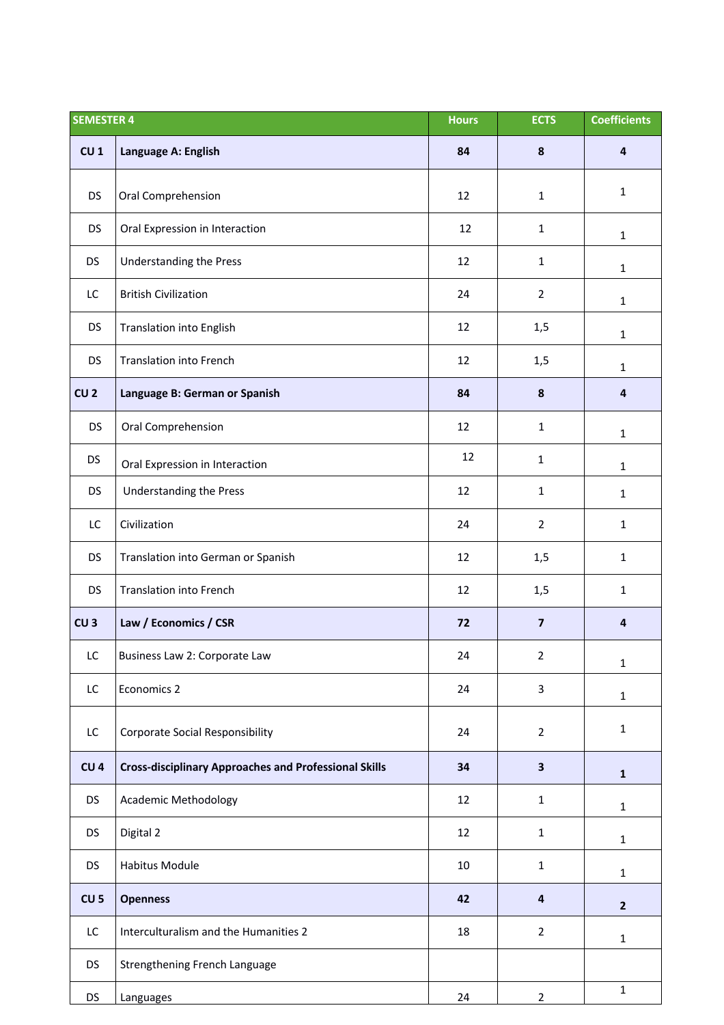| <b>SEMESTER 4</b> |                                                              | <b>Hours</b> | <b>ECTS</b>             | <b>Coefficients</b> |
|-------------------|--------------------------------------------------------------|--------------|-------------------------|---------------------|
| CU <sub>1</sub>   | Language A: English                                          | 84           | 8                       | $\overline{4}$      |
| <b>DS</b>         | Oral Comprehension                                           | 12           | $\mathbf{1}$            | $\mathbf{1}$        |
| DS                | Oral Expression in Interaction                               | 12           | $\mathbf{1}$            | $\mathbf{1}$        |
| <b>DS</b>         | <b>Understanding the Press</b>                               | 12           | $\mathbf{1}$            | $\mathbf{1}$        |
| LC                | <b>British Civilization</b>                                  | 24           | $\overline{2}$          | $\mathbf{1}$        |
| <b>DS</b>         | Translation into English                                     | 12           | 1,5                     | $\mathbf{1}$        |
| <b>DS</b>         | <b>Translation into French</b>                               | 12           | 1,5                     | $\mathbf{1}$        |
| CU <sub>2</sub>   | Language B: German or Spanish                                | 84           | 8                       | 4                   |
| <b>DS</b>         | Oral Comprehension                                           | 12           | $\mathbf{1}$            | $\mathbf{1}$        |
| <b>DS</b>         | Oral Expression in Interaction                               | 12           | $\mathbf{1}$            | $\mathbf{1}$        |
| <b>DS</b>         | Understanding the Press                                      | 12           | $\mathbf{1}$            | $\mathbf{1}$        |
| LC                | Civilization                                                 | 24           | $\overline{2}$          | $\mathbf{1}$        |
| <b>DS</b>         | Translation into German or Spanish                           | 12           | 1,5                     | $\mathbf{1}$        |
| <b>DS</b>         | <b>Translation into French</b>                               | 12           | 1,5                     | $\mathbf{1}$        |
| CU <sub>3</sub>   | Law / Economics / CSR                                        | 72           | $\overline{\mathbf{z}}$ | 4                   |
| LC                | Business Law 2: Corporate Law                                | 24           | $\overline{2}$          | $\mathbf 1$         |
| LC                | Economics 2                                                  | 24           | 3                       | $\mathbf{1}$        |
| LC                | <b>Corporate Social Responsibility</b>                       | 24           | $\overline{2}$          | $\mathbf{1}$        |
| CU <sub>4</sub>   | <b>Cross-disciplinary Approaches and Professional Skills</b> | 34           | $\overline{\mathbf{3}}$ | $\mathbf{1}$        |
| <b>DS</b>         | <b>Academic Methodology</b>                                  | 12           | $\mathbf{1}$            | $\mathbf{1}$        |
| <b>DS</b>         | Digital 2                                                    | 12           | $\mathbf{1}$            | $\mathbf{1}$        |
| DS                | Habitus Module                                               | 10           | $\mathbf{1}$            | $\mathbf{1}$        |
| CU <sub>5</sub>   | <b>Openness</b>                                              | 42           | 4                       | $\overline{2}$      |
| LC.               | Interculturalism and the Humanities 2                        | 18           | $\overline{2}$          | $\mathbf{1}$        |
| <b>DS</b>         | Strengthening French Language                                |              |                         |                     |
| DS                | Languages                                                    | 24           | $\overline{2}$          | $\mathbf 1$         |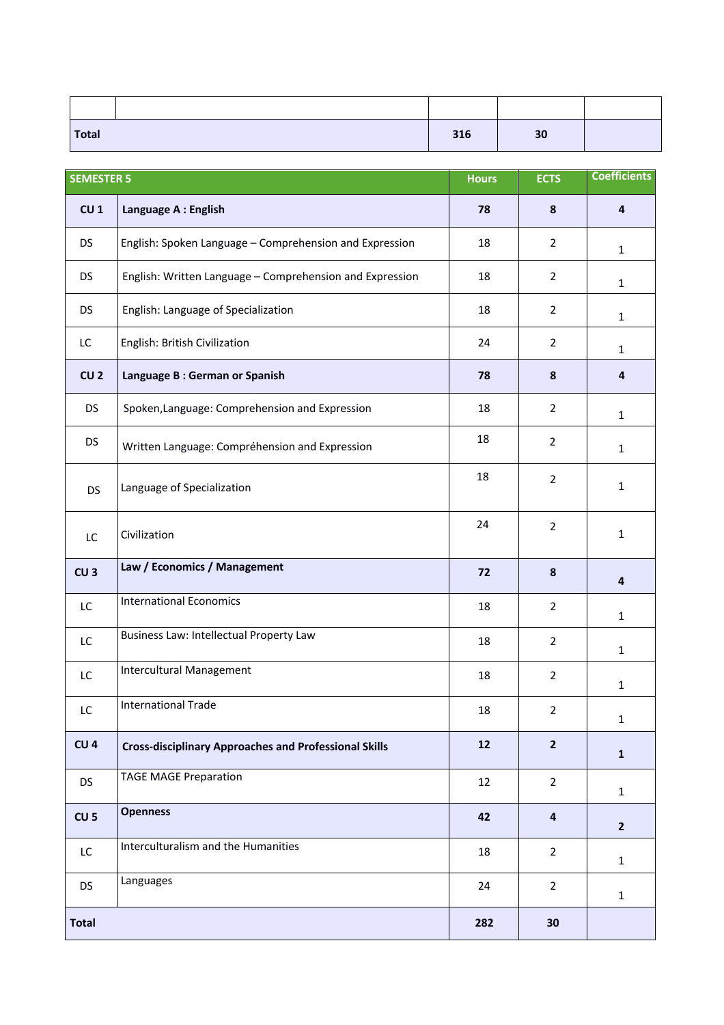| <b>Total</b> | 316 | 30 |  |
|--------------|-----|----|--|

| <b>SEMESTER 5</b> |                                                              | <b>Hours</b> | <b>ECTS</b>    | <b>Coefficients</b> |
|-------------------|--------------------------------------------------------------|--------------|----------------|---------------------|
| CU <sub>1</sub>   | Language A : English                                         | 78           | 8              | $\overline{4}$      |
| <b>DS</b>         | English: Spoken Language - Comprehension and Expression      | 18           | $\overline{2}$ | $\mathbf{1}$        |
| DS                | English: Written Language - Comprehension and Expression     | 18           | $\overline{2}$ | $\mathbf{1}$        |
| <b>DS</b>         | English: Language of Specialization                          | 18           | $\overline{2}$ | $\mathbf{1}$        |
| LC                | English: British Civilization                                | 24           | $\overline{2}$ | $\mathbf{1}$        |
| CU <sub>2</sub>   | Language B: German or Spanish                                | 78           | 8              | $\overline{4}$      |
| <b>DS</b>         | Spoken, Language: Comprehension and Expression               | 18           | $\overline{2}$ | $\mathbf{1}$        |
| <b>DS</b>         | Written Language: Compréhension and Expression               | 18           | $\overline{2}$ | $\mathbf{1}$        |
| <b>DS</b>         | Language of Specialization                                   | 18           | $\overline{2}$ | $\mathbf{1}$        |
| LC                | Civilization                                                 | 24           | $\overline{2}$ | $\mathbf{1}$        |
| CU <sub>3</sub>   | Law / Economics / Management                                 | 72           | 8              | 4                   |
| LC                | <b>International Economics</b>                               | 18           | $\overline{2}$ | $\mathbf{1}$        |
| LC                | Business Law: Intellectual Property Law                      | 18           | $\overline{2}$ | $\mathbf{1}$        |
| LC                | Intercultural Management                                     | 18           | $\overline{2}$ | $\mathbf{1}$        |
| LC                | <b>International Trade</b>                                   | 18           | $\overline{2}$ | $\mathbf{1}$        |
| CU <sub>4</sub>   | <b>Cross-disciplinary Approaches and Professional Skills</b> | 12           | $\overline{2}$ | $\mathbf{1}$        |
| <b>DS</b>         | <b>TAGE MAGE Preparation</b>                                 | 12           | $\overline{2}$ | $\mathbf{1}$        |
| CU <sub>5</sub>   | <b>Openness</b>                                              | 42           | $\overline{4}$ | $\mathbf{2}$        |
| LC                | Interculturalism and the Humanities                          | 18           | $\overline{2}$ | $\mathbf{1}$        |
| <b>DS</b>         | Languages                                                    | 24           | $\overline{2}$ | $\mathbf{1}$        |
| <b>Total</b>      |                                                              | 282          | 30             |                     |